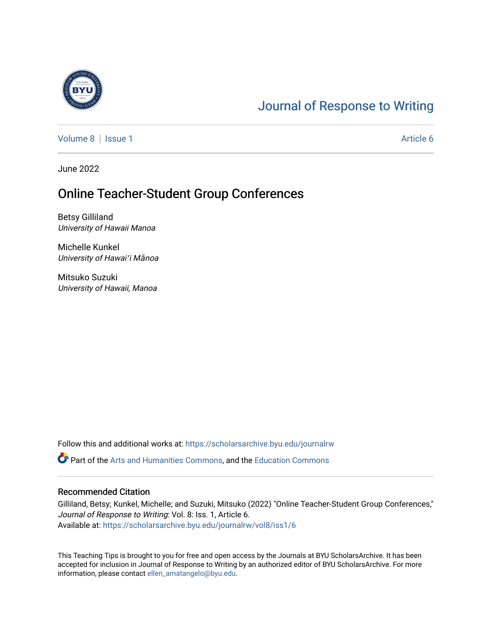

## [Journal of Response to Writing](https://scholarsarchive.byu.edu/journalrw)

[Volume 8](https://scholarsarchive.byu.edu/journalrw/vol8) | [Issue 1](https://scholarsarchive.byu.edu/journalrw/vol8/iss1) Article 6

June 2022

### Online Teacher-Student Group Conferences

Betsy Gilliland University of Hawaii Manoa

Michelle Kunkel University of Hawai<sup>ʻ</sup>i Mānoa

Mitsuko Suzuki University of Hawaii, Manoa

Follow this and additional works at: [https://scholarsarchive.byu.edu/journalrw](https://scholarsarchive.byu.edu/journalrw?utm_source=scholarsarchive.byu.edu%2Fjournalrw%2Fvol8%2Fiss1%2F6&utm_medium=PDF&utm_campaign=PDFCoverPages)

Part of the [Arts and Humanities Commons,](https://network.bepress.com/hgg/discipline/438?utm_source=scholarsarchive.byu.edu%2Fjournalrw%2Fvol8%2Fiss1%2F6&utm_medium=PDF&utm_campaign=PDFCoverPages) and the [Education Commons](https://network.bepress.com/hgg/discipline/784?utm_source=scholarsarchive.byu.edu%2Fjournalrw%2Fvol8%2Fiss1%2F6&utm_medium=PDF&utm_campaign=PDFCoverPages) 

#### Recommended Citation

Gilliland, Betsy; Kunkel, Michelle; and Suzuki, Mitsuko (2022) "Online Teacher-Student Group Conferences," Journal of Response to Writing: Vol. 8: Iss. 1, Article 6. Available at: [https://scholarsarchive.byu.edu/journalrw/vol8/iss1/6](https://scholarsarchive.byu.edu/journalrw/vol8/iss1/6?utm_source=scholarsarchive.byu.edu%2Fjournalrw%2Fvol8%2Fiss1%2F6&utm_medium=PDF&utm_campaign=PDFCoverPages)

This Teaching Tips is brought to you for free and open access by the Journals at BYU ScholarsArchive. It has been accepted for inclusion in Journal of Response to Writing by an authorized editor of BYU ScholarsArchive. For more information, please contact [ellen\\_amatangelo@byu.edu.](mailto:ellen_amatangelo@byu.edu)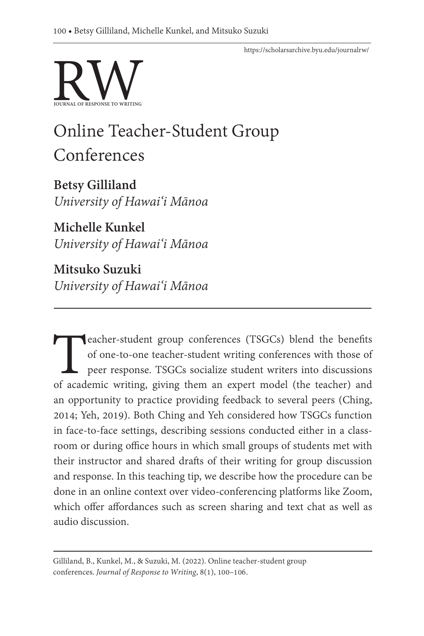<https://scholarsarchive.byu.edu/journalrw/>



# Online Teacher-Student Group Conferences

**Betsy Gilliland** *University of Hawai'i Mānoa*

**Michelle Kunkel** *University of Hawai'i Mānoa*

**Mitsuko Suzuki** *University of Hawai'i Mānoa*

**Teacher-student group conferences (TSGCs) blend the benefits of one-to-one teacher-student writing conferences with those of peer response. TSGCs socialize student writers into discussions of academic writing, giving them** of one-to-one teacher-student writing conferences with those of peer response. TSGCs socialize student writers into discussions of academic writing, giving them an expert model (the teacher) and an opportunity to practice providing feedback to several peers (Ching, 2014; Yeh, 2019). Both Ching and Yeh considered how TSGCs function in face-to-face settings, describing sessions conducted either in a classroom or during office hours in which small groups of students met with their instructor and shared drafts of their writing for group discussion and response. In this teaching tip, we describe how the procedure can be done in an online context over video-conferencing platforms like Zoom, which offer affordances such as screen sharing and text chat as well as audio discussion.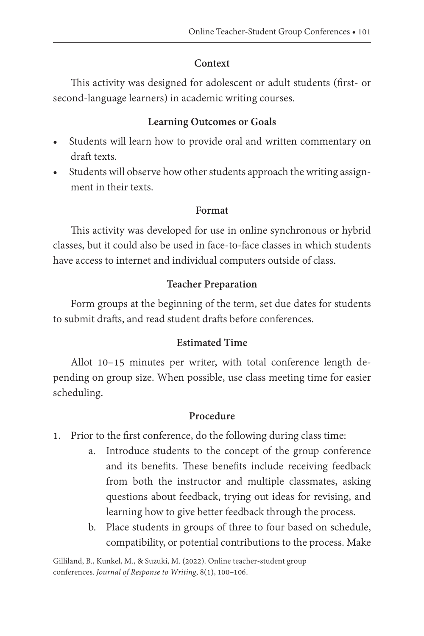#### **Context**

This activity was designed for adolescent or adult students (first- or second-language learners) in academic writing courses.

#### **Learning Outcomes or Goals**

- Students will learn how to provide oral and written commentary on draft texts.
- Students will observe how other students approach the writing assignment in their texts.

#### **Format**

This activity was developed for use in online synchronous or hybrid classes, but it could also be used in face-to-face classes in which students have access to internet and individual computers outside of class.

#### **Teacher Preparation**

Form groups at the beginning of the term, set due dates for students to submit drafts, and read student drafts before conferences.

#### **Estimated Time**

Allot 10–15 minutes per writer, with total conference length depending on group size. When possible, use class meeting time for easier scheduling.

#### **Procedure**

- 1. Prior to the first conference, do the following during class time:
	- a. Introduce students to the concept of the group conference and its benefits. These benefits include receiving feedback from both the instructor and multiple classmates, asking questions about feedback, trying out ideas for revising, and learning how to give better feedback through the process.
	- b. Place students in groups of three to four based on schedule, compatibility, or potential contributions to the process. Make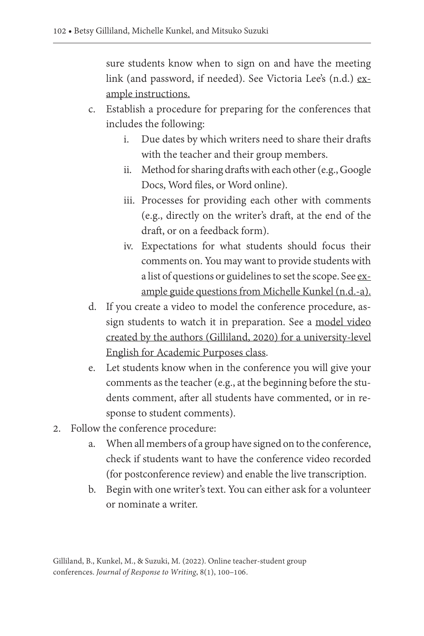sure students know when to sign on and have the meeting link (and password, if needed). See Victoria Lee's (n.d.) [ex](https://docs.google.com/document/d/e/2PACX-1vS6z5HefTs5m9AXZbOH5USuV43lrcgk_YTkyeLsBTWk2JU61gVrTFeRN5DJO9Kr7UdVOafO3UrfHs_t/pub)[ample instructions](https://docs.google.com/document/d/e/2PACX-1vS6z5HefTs5m9AXZbOH5USuV43lrcgk_YTkyeLsBTWk2JU61gVrTFeRN5DJO9Kr7UdVOafO3UrfHs_t/pub).

- c. Establish a procedure for preparing for the conferences that includes the following:
	- i. Due dates by which writers need to share their drafts with the teacher and their group members.
	- ii. Method for sharing drafts with each other (e.g., Google Docs, Word files, or Word online).
	- iii. Processes for providing each other with comments (e.g., directly on the writer's draft, at the end of the draft, or on a feedback form).
	- iv. Expectations for what students should focus their comments on. You may want to provide students with a list of questions or guidelines to set the scope. See [ex](https://docs.google.com/document/d/e/2PACX-1vRDfaaUWyHhEyuG-WB19AboVkylUZKa3jzIfH57Cc5Jyo9L4Skq7MrZFilr8hYFPO-gs7kAKP9tkFXb/pub)[ample guide questions from Michelle Kunkel \(n.d.-a\).](https://docs.google.com/document/d/e/2PACX-1vRDfaaUWyHhEyuG-WB19AboVkylUZKa3jzIfH57Cc5Jyo9L4Skq7MrZFilr8hYFPO-gs7kAKP9tkFXb/pub)
- d. If you create a video to model the conference procedure, assign students to watch it in preparation. See a [model video](https://www.youtube.com/watch?v=eddbclr_yhc) [created by the authors \(Gilliland, 2020\) for a university-level](https://www.youtube.com/watch?v=eddbclr_yhc) [English for Academic Purposes class.](https://www.youtube.com/watch?v=eddbclr_yhc)
- e. Let students know when in the conference you will give your comments as the teacher (e.g., at the beginning before the students comment, after all students have commented, or in response to student comments).
- 2. Follow the conference procedure:
	- a. When all members of a group have signed on to the conference, check if students want to have the conference video recorded (for postconference review) and enable the live transcription.
	- b. Begin with one writer's text. You can either ask for a volunteer or nominate a writer.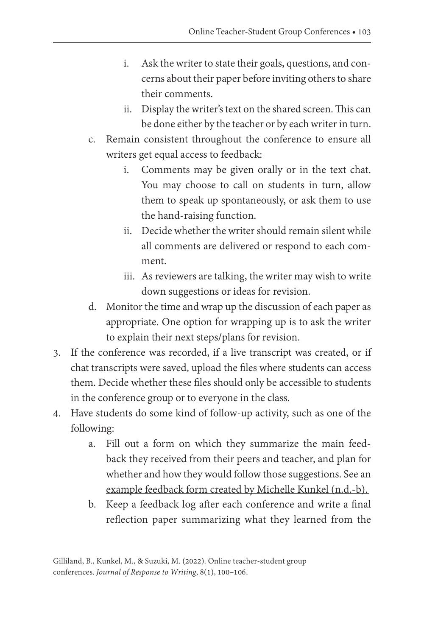- i. Ask the writer to state their goals, questions, and concerns about their paper before inviting others to share their comments.
- ii. Display the writer's text on the shared screen. This can be done either by the teacher or by each writer in turn.
- c. Remain consistent throughout the conference to ensure all writers get equal access to feedback:
	- i. Comments may be given orally or in the text chat. You may choose to call on students in turn, allow them to speak up spontaneously, or ask them to use the hand-raising function.
	- ii. Decide whether the writer should remain silent while all comments are delivered or respond to each comment.
	- iii. As reviewers are talking, the writer may wish to write down suggestions or ideas for revision.
- d. Monitor the time and wrap up the discussion of each paper as appropriate. One option for wrapping up is to ask the writer to explain their next steps/plans for revision.
- 3. If the conference was recorded, if a live transcript was created, or if chat transcripts were saved, upload the files where students can access them. Decide whether these files should only be accessible to students in the conference group or to everyone in the class.
- 4. Have students do some kind of follow-up activity, such as one of the following:
	- a. Fill out a form on which they summarize the main feedback they received from their peers and teacher, and plan for whether and how they would follow those suggestions. See an [example feedback form created by Michelle Kunkel \(n.d.-b\).](https://docs.google.com/document/d/e/2PACX-1vTXu6aAle21m8qZ2ISwuXmWi9hCJGRoFUbXioh4mQX7X3oukkx3RfluXCpFz0VkNq_FK-AUgP_cQ-3L/pub)
	- b. Keep a feedback log after each conference and write a final reflection paper summarizing what they learned from the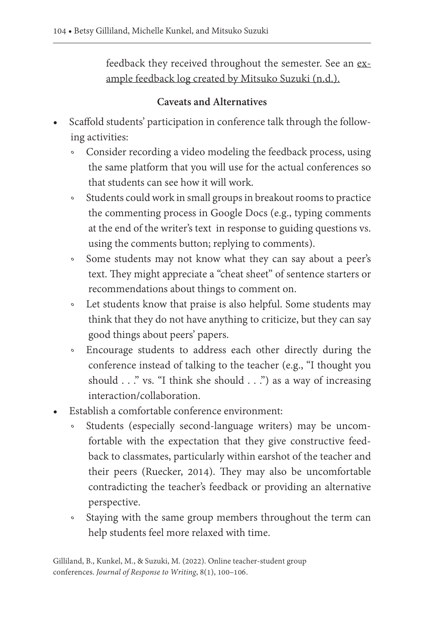feedback they received throughout the semester. See an [ex](https://docs.google.com/document/d/e/2PACX-1vTYhoAJtNLH5jR1Ure6xMBWCsQqpuPiThXLmtWnlWSrxXl9FVIKVBvnfpWal08NaJhdXFWM8o12Tb4h/pub)[ample feedback log created by Mitsuko Suzuki \(n.d.\).](https://docs.google.com/document/d/e/2PACX-1vTYhoAJtNLH5jR1Ure6xMBWCsQqpuPiThXLmtWnlWSrxXl9FVIKVBvnfpWal08NaJhdXFWM8o12Tb4h/pub)

#### **Caveats and Alternatives**

- Scaffold students' participation in conference talk through the following activities:
	- ॰ Consider recording a video modeling the feedback process, using the same platform that you will use for the actual conferences so that students can see how it will work.
	- ॰ Students could work in small groups in breakout rooms to practice the commenting process in Google Docs (e.g., typing comments at the end of the writer's text in response to guiding questions vs. using the comments button; replying to comments).
	- ॰ Some students may not know what they can say about a peer's text. They might appreciate a "cheat sheet" of sentence starters or recommendations about things to comment on.
	- ॰ Let students know that praise is also helpful. Some students may think that they do not have anything to criticize, but they can say good things about peers' papers.
	- ॰ Encourage students to address each other directly during the conference instead of talking to the teacher (e.g., "I thought you should . . ." vs. "I think she should . . .") as a way of increasing interaction/collaboration.
- Establish a comfortable conference environment:
	- Students (especially second-language writers) may be uncomfortable with the expectation that they give constructive feedback to classmates, particularly within earshot of the teacher and their peers (Ruecker, 2014). They may also be uncomfortable contradicting the teacher's feedback or providing an alternative perspective.
	- ॰ Staying with the same group members throughout the term can help students feel more relaxed with time.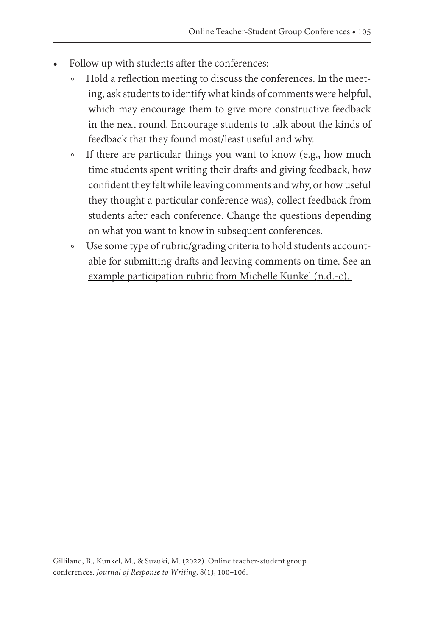- Follow up with students after the conferences:
	- Hold a reflection meeting to discuss the conferences. In the meeting, ask students to identify what kinds of comments were helpful, which may encourage them to give more constructive feedback in the next round. Encourage students to talk about the kinds of feedback that they found most/least useful and why.
	- ॰ If there are particular things you want to know (e.g., how much time students spent writing their drafts and giving feedback, how confident they felt while leaving comments and why, or how useful they thought a particular conference was), collect feedback from students after each conference. Change the questions depending on what you want to know in subsequent conferences.
	- ॰ Use some type of rubric/grading criteria to hold students accountable for submitting drafts and leaving comments on time. See an [example participation rubric from Michelle Kunkel \(n.d.-c\).](https://docs.google.com/document/d/e/2PACX-1vRcUcnx14-mi832f8keDJiyBo0oB2jziifQupChsc9J7bipQjO7xUb6GUBbKZhpK5KNkW7bDf6Yymoy/pub)